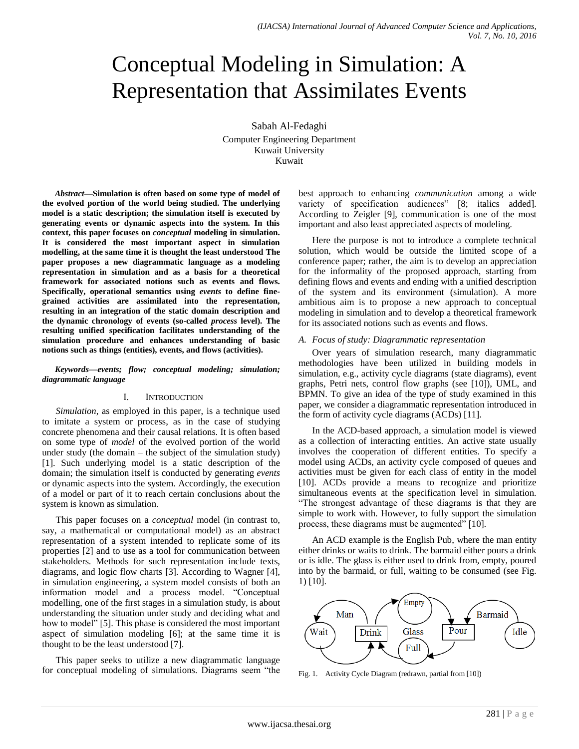# Conceptual Modeling in Simulation: A Representation that Assimilates Events

Sabah Al-Fedaghi Computer Engineering Department Kuwait University Kuwait

*Abstract***—Simulation is often based on some type of model of the evolved portion of the world being studied. The underlying model is a static description; the simulation itself is executed by generating events or dynamic aspects into the system. In this context, this paper focuses on** *conceptual* **modeling in simulation. It is considered the most important aspect in simulation modelling, at the same time it is thought the least understood The paper proposes a new diagrammatic language as a modeling representation in simulation and as a basis for a theoretical framework for associated notions such as events and flows. Specifically, operational semantics using** *events* **to define finegrained activities are assimilated into the representation, resulting in an integration of the static domain description and the dynamic chronology of events (so-called** *process* **level). The resulting unified specification facilitates understanding of the simulation procedure and enhances understanding of basic notions such as things (entities), events, and flows (activities).**

*Keywords—events; flow; conceptual modeling; simulation; diagrammatic language*

#### I. INTRODUCTION

*Simulation*, as employed in this paper, is a technique used to imitate a system or process, as in the case of studying concrete phenomena and their causal relations. It is often based on some type of *model* of the evolved portion of the world under study (the domain – the subject of the simulation study) [1]. Such underlying model is a static description of the domain; the simulation itself is conducted by generating *events* or dynamic aspects into the system. Accordingly, the execution of a model or part of it to reach certain conclusions about the system is known as simulation.

This paper focuses on a *conceptual* model (in contrast to, say, a mathematical or computational model) as an abstract representation of a system intended to replicate some of its properties [2] and to use as a tool for communication between stakeholders. Methods for such representation include texts, diagrams, and logic flow charts [3]. According to Wagner [4], in simulation engineering, a system model consists of both an information model and a process model. "Conceptual modelling, one of the first stages in a simulation study, is about understanding the situation under study and deciding what and how to model" [5]. This phase is considered the most important aspect of simulation modeling [6]; at the same time it is thought to be the least understood [7].

This paper seeks to utilize a new diagrammatic language for conceptual modeling of simulations. Diagrams seem "the best approach to enhancing *communication* among a wide variety of specification audiences" [8; italics added]. According to Zeigler [9], communication is one of the most important and also least appreciated aspects of modeling.

Here the purpose is not to introduce a complete technical solution, which would be outside the limited scope of a conference paper; rather, the aim is to develop an appreciation for the informality of the proposed approach, starting from defining flows and events and ending with a unified description of the system and its environment (simulation). A more ambitious aim is to propose a new approach to conceptual modeling in simulation and to develop a theoretical framework for its associated notions such as events and flows.

### *A. Focus of study: Diagrammatic representation*

Over years of simulation research, many diagrammatic methodologies have been utilized in building models in simulation, e.g., activity cycle diagrams (state diagrams), event graphs, Petri nets, control flow graphs (see [10]), UML, and BPMN. To give an idea of the type of study examined in this paper, we consider a diagrammatic representation introduced in the form of activity cycle diagrams (ACDs) [11].

In the ACD-based approach, a simulation model is viewed as a collection of interacting entities. An active state usually involves the cooperation of different entities. To specify a model using ACDs, an activity cycle composed of queues and activities must be given for each class of entity in the model [10]. ACDs provide a means to recognize and prioritize simultaneous events at the specification level in simulation. "The strongest advantage of these diagrams is that they are simple to work with. However, to fully support the simulation process, these diagrams must be augmented" [10].

An ACD example is the English Pub, where the man entity either drinks or waits to drink. The barmaid either pours a drink or is idle. The glass is either used to drink from, empty, poured into by the barmaid, or full, waiting to be consumed (see Fig. 1) [10].



Fig. 1. Activity Cycle Diagram (redrawn, partial from [10])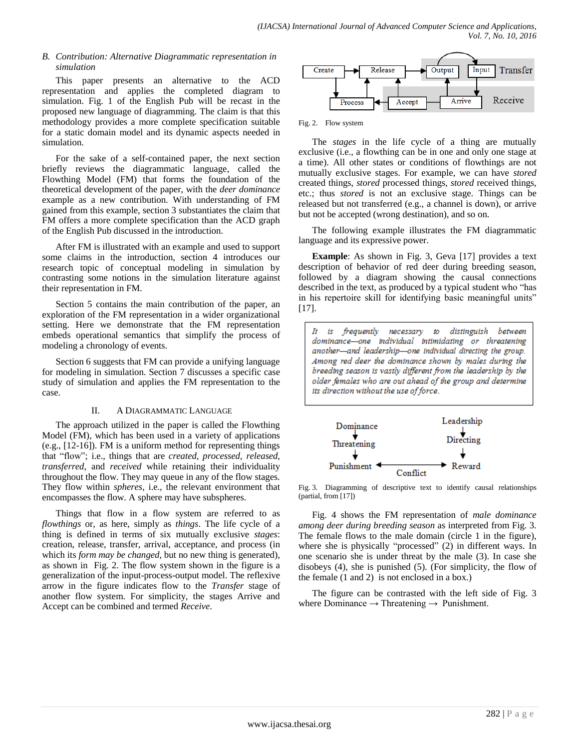## *B. Contribution: Alternative Diagrammatic representation in simulation*

This paper presents an alternative to the ACD representation and applies the completed diagram to simulation. Fig. 1 of the English Pub will be recast in the proposed new language of diagramming. The claim is that this methodology provides a more complete specification suitable for a static domain model and its dynamic aspects needed in simulation.

For the sake of a self-contained paper, the next section briefly reviews the diagrammatic language, called the Flowthing Model (FM) that forms the foundation of the theoretical development of the paper, with the *deer dominance* example as a new contribution. With understanding of FM gained from this example, section 3 substantiates the claim that FM offers a more complete specification than the ACD graph of the English Pub discussed in the introduction.

After FM is illustrated with an example and used to support some claims in the introduction, section 4 introduces our research topic of conceptual modeling in simulation by contrasting some notions in the simulation literature against their representation in FM.

Section 5 contains the main contribution of the paper, an exploration of the FM representation in a wider organizational setting. Here we demonstrate that the FM representation embeds operational semantics that simplify the process of modeling a chronology of events.

Section 6 suggests that FM can provide a unifying language for modeling in simulation. Section 7 discusses a specific case study of simulation and applies the FM representation to the case.

## II. A DIAGRAMMATIC LANGUAGE

The approach utilized in the paper is called the Flowthing Model (FM), which has been used in a variety of applications (e.g., [12-16]). FM is a uniform method for representing things that "flow"; i.e., things that are *created*, *processed*, *released*, *transferred*, and *received* while retaining their individuality throughout the flow. They may queue in any of the flow stages. They flow within *spheres*, i.e., the relevant environment that encompasses the flow. A sphere may have subspheres.

Things that flow in a flow system are referred to as *flowthings* or, as here, simply as *things*. The life cycle of a thing is defined in terms of six mutually exclusive *stages*: creation, release, transfer, arrival, acceptance, and process (in which its *form may be changed*, but no new thing is generated), as shown in Fig. 2. The flow system shown in the figure is a generalization of the input-process-output model. The reflexive arrow in the figure indicates flow to the *Transfer* stage of another flow system. For simplicity, the stages Arrive and Accept can be combined and termed *Receive*.



Fig. 2. Flow system

The *stages* in the life cycle of a thing are mutually exclusive (i.e., a flowthing can be in one and only one stage at a time). All other states or conditions of flowthings are not mutually exclusive stages. For example, we can have *stored* created things, *stored* processed things, *stored* received things, etc.; thus *stored* is not an exclusive stage. Things can be released but not transferred (e.g., a channel is down), or arrive but not be accepted (wrong destination), and so on.

The following example illustrates the FM diagrammatic language and its expressive power.

**Example**: As shown in Fig. 3, Geva [17] provides a text description of behavior of red deer during breeding season, followed by a diagram showing the causal connections described in the text, as produced by a typical student who "has in his repertoire skill for identifying basic meaningful units" [17].

It is frequently necessary to distinguish between dominance-one individual intimidating or threatening another-and leadership-one individual directing the group. Among red deer the dominance shown by males during the breeding season is vastly different from the leadership by the older females who are out ahead of the group and determine its direction without the use of force.



Fig. 3. Diagramming of descriptive text to identify causal relationships (partial, from [17])

Fig. 4 shows the FM representation of *male dominance among deer during breeding season* as interpreted from Fig. 3. The female flows to the male domain (circle 1 in the figure), where she is physically "processed" (2) in different ways. In one scenario she is under threat by the male (3). In case she disobeys (4), she is punished (5). (For simplicity, the flow of the female (1 and 2) is not enclosed in a box.)

The figure can be contrasted with the left side of Fig. 3 where Dominance  $\rightarrow$  Threatening  $\rightarrow$  Punishment.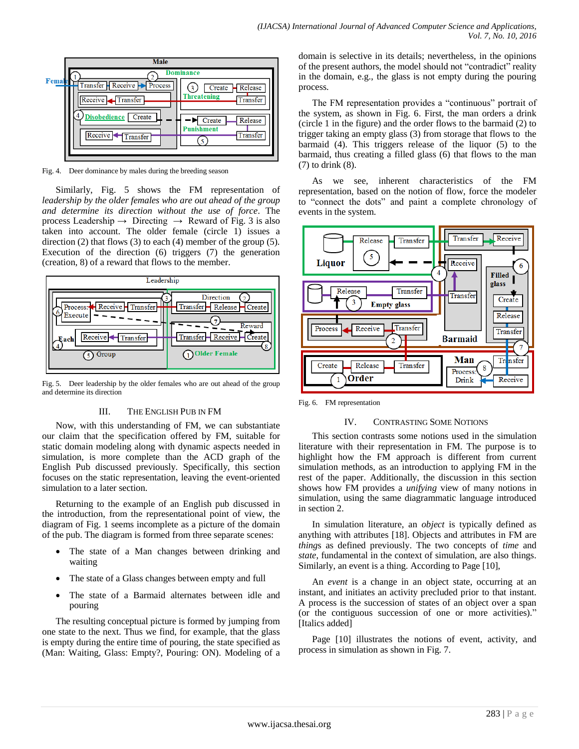

Fig. 4. Deer dominance by males during the breeding season

Similarly, Fig. 5 shows the FM representation of *leadership by the older females who are out ahead of the group and determine its direction without the use of force*. The process Leadership  $\rightarrow$  Directing  $\rightarrow$  Reward of Fig. 3 is also taken into account. The older female (circle 1) issues a direction (2) that flows (3) to each (4) member of the group (5). Execution of the direction (6) triggers (7) the generation (creation, 8) of a reward that flows to the member.



Fig. 5. Deer leadership by the older females who are out ahead of the group and determine its direction

## III. THE ENGLISH PUB IN FM

Now, with this understanding of FM, we can substantiate our claim that the specification offered by FM, suitable for static domain modeling along with dynamic aspects needed in simulation, is more complete than the ACD graph of the English Pub discussed previously. Specifically, this section focuses on the static representation, leaving the event-oriented simulation to a later section.

Returning to the example of an English pub discussed in the introduction, from the representational point of view, the diagram of Fig. 1 seems incomplete as a picture of the domain of the pub. The diagram is formed from three separate scenes:

- The state of a Man changes between drinking and waiting
- The state of a Glass changes between empty and full
- The state of a Barmaid alternates between idle and pouring

The resulting conceptual picture is formed by jumping from one state to the next. Thus we find, for example, that the glass is empty during the entire time of pouring, the state specified as (Man: Waiting, Glass: Empty?, Pouring: ON). Modeling of a domain is selective in its details; nevertheless, in the opinions of the present authors, the model should not "contradict" reality in the domain, e.g., the glass is not empty during the pouring process.

The FM representation provides a "continuous" portrait of the system, as shown in Fig. 6. First, the man orders a drink (circle 1 in the figure) and the order flows to the barmaid (2) to trigger taking an empty glass (3) from storage that flows to the barmaid (4). This triggers release of the liquor (5) to the barmaid, thus creating a filled glass (6) that flows to the man (7) to drink (8).

As we see, inherent characteristics of the FM representation, based on the notion of flow, force the modeler to "connect the dots" and paint a complete chronology of events in the system.



Fig. 6. FM representation

## IV. CONTRASTING SOME NOTIONS

This section contrasts some notions used in the simulation literature with their representation in FM. The purpose is to highlight how the FM approach is different from current simulation methods, as an introduction to applying FM in the rest of the paper. Additionally, the discussion in this section shows how FM provides a *unifying* view of many notions in simulation, using the same diagrammatic language introduced in section 2.

In simulation literature, an *object* is typically defined as anything with attributes [18]. Objects and attributes in FM are *thing*s as defined previously. The two concepts of *time* and *state*, fundamental in the context of simulation, are also things. Similarly, an event is a thing. According to Page [10],

An *event* is a change in an object state, occurring at an instant, and initiates an activity precluded prior to that instant. A process is the succession of states of an object over a span (or the contiguous succession of one or more activities)." [Italics added]

Page [10] illustrates the notions of event, activity, and process in simulation as shown in Fig. 7.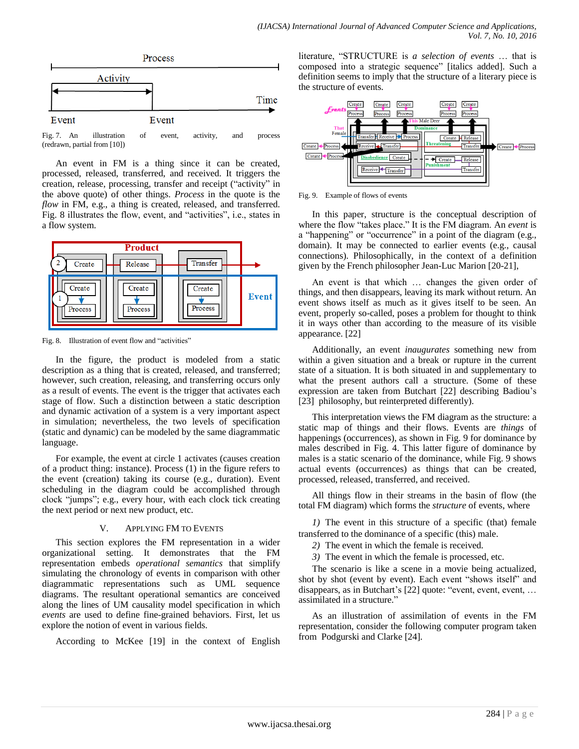

Fig. 7. An illustration of event, activity, and process (redrawn, partial from [10])

An event in FM is a thing since it can be created, processed, released, transferred, and received. It triggers the creation, release, processing, transfer and receipt ("activity" in the above quote) of other things. *Process* in the quote is the *flow* in FM, e.g., a thing is created, released, and transferred. Fig. 8 illustrates the flow, event, and "activities", i.e., states in a flow system.



Fig. 8. Illustration of event flow and "activities"

In the figure, the product is modeled from a static description as a thing that is created, released, and transferred; however, such creation, releasing, and transferring occurs only as a result of events. The event is the trigger that activates each stage of flow. Such a distinction between a static description and dynamic activation of a system is a very important aspect in simulation; nevertheless, the two levels of specification (static and dynamic) can be modeled by the same diagrammatic language.

For example, the event at circle 1 activates (causes creation of a product thing: instance). Process (1) in the figure refers to the event (creation) taking its course (e.g., duration). Event scheduling in the diagram could be accomplished through clock "jumps"; e.g., every hour, with each clock tick creating the next period or next new product, etc.

## V. APPLYING FM TO EVENTS

This section explores the FM representation in a wider organizational setting. It demonstrates that the FM representation embeds *operational semantics* that simplify simulating the chronology of events in comparison with other diagrammatic representations such as UML sequence diagrams. The resultant operational semantics are conceived along the lines of UM causality model specification in which *events* are used to define fine-grained behaviors. First, let us explore the notion of event in various fields.

According to McKee [19] in the context of English

literature, "STRUCTURE is *a selection of events* … that is composed into a strategic sequence" [italics added]. Such a definition seems to imply that the structure of a literary piece is the structure of events.



Fig. 9. Example of flows of events

In this paper, structure is the conceptual description of where the flow "takes place." It is the FM diagram. An *event* is a "happening" or "occurrence" in a point of the diagram (e.g., domain). It may be connected to earlier events (e.g., causal connections). Philosophically, in the context of a definition given by the French philosopher Jean-Luc Marion [20-21],

An event is that which … changes the given order of things, and then disappears, leaving its mark without return. An event shows itself as much as it gives itself to be seen. An event, properly so-called, poses a problem for thought to think it in ways other than according to the measure of its visible appearance. [22]

Additionally, an event *inaugurates* something new from within a given situation and a break or rupture in the current state of a situation. It is both situated in and supplementary to what the present authors call a structure. (Some of these expression are taken from Butchart [22] describing Badiou's [23] philosophy, but reinterpreted differently).

This interpretation views the FM diagram as the structure: a static map of things and their flows. Events are *things* of happenings (occurrences), as shown in Fig. 9 for dominance by males described in Fig. 4. This latter figure of dominance by males is a static scenario of the dominance, while Fig. 9 shows actual events (occurrences) as things that can be created, processed, released, transferred, and received.

All things flow in their streams in the basin of flow (the total FM diagram) which forms the *structure* of events, where

*1)* The event in this structure of a specific (that) female transferred to the dominance of a specific (this) male.

*2)* The event in which the female is received.

*3)* The event in which the female is processed, etc.

The scenario is like a scene in a movie being actualized, shot by shot (event by event). Each event "shows itself" and disappears, as in Butchart's [22] quote: "event, event, event, … assimilated in a structure."

As an illustration of assimilation of events in the FM representation, consider the following computer program taken from Podgurski and Clarke [24].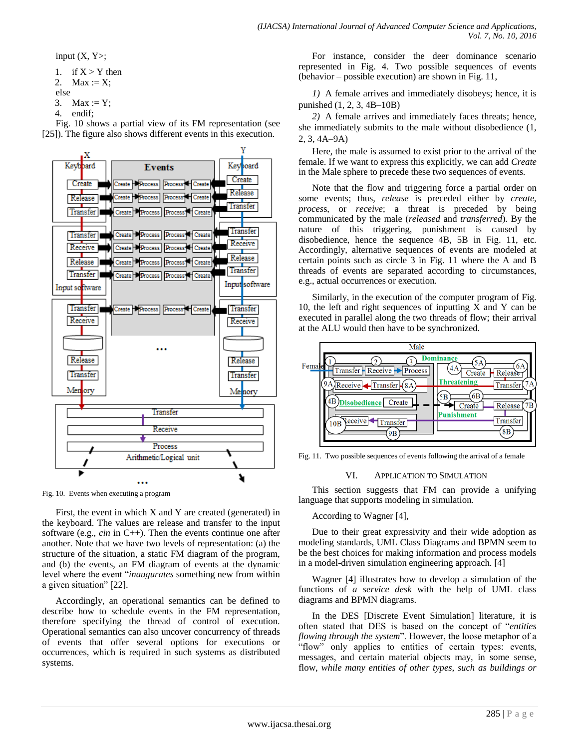input  $(X, Y)$ ;

```
1. if X > Y then
2. Max := X;
else
```
3. Max :=  $Y$ ;

4. endif;

Fig. 10 shows a partial view of its FM representation (see [25]). The figure also shows different events in this execution.



Fig. 10. Events when executing a program

First, the event in which  $X$  and  $Y$  are created (generated) in the keyboard. The values are release and transfer to the input software (e.g., *cin* in C++). Then the events continue one after another. Note that we have two levels of representation: (a) the structure of the situation, a static FM diagram of the program, and (b) the events, an FM diagram of events at the dynamic level where the event "*inaugurates* something new from within a given situation" [22].

Accordingly, an operational semantics can be defined to describe how to schedule events in the FM representation, therefore specifying the thread of control of execution. Operational semantics can also uncover concurrency of threads of events that offer several options for executions or occurrences, which is required in such systems as distributed systems.

For instance, consider the deer dominance scenario represented in Fig. 4. Two possible sequences of events (behavior – possible execution) are shown in Fig. 11,

*1)* A female arrives and immediately disobeys; hence, it is punished (1, 2, 3, 4B–10B)

*2)* A female arrives and immediately faces threats; hence, she immediately submits to the male without disobedience (1, 2, 3, 4A–9A)

Here, the male is assumed to exist prior to the arrival of the female. If we want to express this explicitly, we can add *Create* in the Male sphere to precede these two sequences of events.

Note that the flow and triggering force a partial order on some events; thus, *release* is preceded either by *create*, *proces*s, or *receive*; a threat is preceded by being communicated by the male (*released* and *transferred*). By the nature of this triggering, punishment is caused by disobedience, hence the sequence 4B, 5B in Fig. 11, etc. Accordingly, alternative sequences of events are modeled at certain points such as circle 3 in Fig. 11 where the A and B threads of events are separated according to circumstances, e.g., actual occurrences or execution.

Similarly, in the execution of the computer program of Fig. 10, the left and right sequences of inputting X and Y can be executed in parallel along the two threads of flow; their arrival at the ALU would then have to be synchronized.



Fig. 11. Two possible sequences of events following the arrival of a female

## VI. APPLICATION TO SIMULATION

This section suggests that FM can provide a unifying language that supports modeling in simulation.

According to Wagner [4],

Due to their great expressivity and their wide adoption as modeling standards, UML Class Diagrams and BPMN seem to be the best choices for making information and process models in a model-driven simulation engineering approach. [4]

Wagner [4] illustrates how to develop a simulation of the functions of *a service desk* with the help of UML class diagrams and BPMN diagrams.

In the DES [Discrete Event Simulation] literature, it is often stated that DES is based on the concept of "*entities flowing through the system*". However, the loose metaphor of a "flow" only applies to entities of certain types: events, messages, and certain material objects may, in some sense, flow, *while many entities of other types, such as buildings or*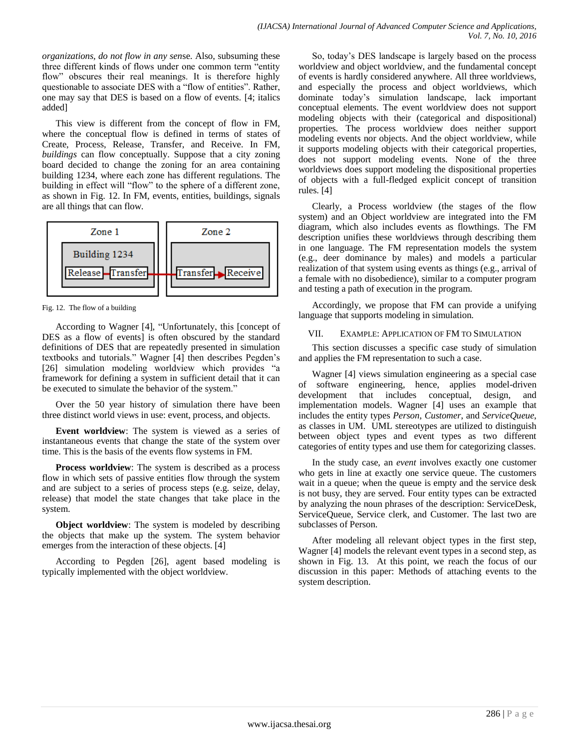*organizations, do not flow in any sen*se. Also, subsuming these three different kinds of flows under one common term "entity flow" obscures their real meanings. It is therefore highly questionable to associate DES with a "flow of entities". Rather, one may say that DES is based on a flow of events. [4; italics added]

This view is different from the concept of flow in FM, where the conceptual flow is defined in terms of states of Create, Process, Release, Transfer, and Receive. In FM, *buildings* can flow conceptually. Suppose that a city zoning board decided to change the zoning for an area containing building 1234, where each zone has different regulations. The building in effect will "flow" to the sphere of a different zone, as shown in Fig. 12. In FM, events, entities, buildings, signals are all things that can flow.



Fig. 12. The flow of a building

According to Wagner [4], "Unfortunately, this [concept of DES as a flow of events] is often obscured by the standard definitions of DES that are repeatedly presented in simulation textbooks and tutorials." Wagner [4] then describes Pegden's [26] simulation modeling worldview which provides "a framework for defining a system in sufficient detail that it can be executed to simulate the behavior of the system."

Over the 50 year history of simulation there have been three distinct world views in use: event, process, and objects.

**Event worldview**: The system is viewed as a series of instantaneous events that change the state of the system over time. This is the basis of the events flow systems in FM.

**Process worldview**: The system is described as a process flow in which sets of passive entities flow through the system and are subject to a series of process steps (e.g. seize, delay, release) that model the state changes that take place in the system.

**Object worldview**: The system is modeled by describing the objects that make up the system. The system behavior emerges from the interaction of these objects. [4]

According to Pegden [26], agent based modeling is typically implemented with the object worldview.

So, today's DES landscape is largely based on the process worldview and object worldview, and the fundamental concept of events is hardly considered anywhere. All three worldviews, and especially the process and object worldviews, which dominate today's simulation landscape, lack important conceptual elements. The event worldview does not support modeling objects with their (categorical and dispositional) properties. The process worldview does neither support modeling events nor objects. And the object worldview, while it supports modeling objects with their categorical properties, does not support modeling events. None of the three worldviews does support modeling the dispositional properties of objects with a full-fledged explicit concept of transition rules. [4]

Clearly, a Process worldview (the stages of the flow system) and an Object worldview are integrated into the FM diagram, which also includes events as flowthings. The FM description unifies these worldviews through describing them in one language. The FM representation models the system (e.g., deer dominance by males) and models a particular realization of that system using events as things (e.g., arrival of a female with no disobedience), similar to a computer program and testing a path of execution in the program.

Accordingly, we propose that FM can provide a unifying language that supports modeling in simulation.

## VII. EXAMPLE: APPLICATION OF FM TO SIMULATION

This section discusses a specific case study of simulation and applies the FM representation to such a case.

Wagner [4] views simulation engineering as a special case of software engineering, hence, applies model-driven development that includes conceptual, design, and implementation models. Wagner [4] uses an example that includes the entity types *Person*, *Customer*, and *ServiceQueue*, as classes in UM. UML stereotypes are utilized to distinguish between object types and event types as two different categories of entity types and use them for categorizing classes.

In the study case, an *event* involves exactly one customer who gets in line at exactly one service queue. The customers wait in a queue; when the queue is empty and the service desk is not busy, they are served. Four entity types can be extracted by analyzing the noun phrases of the description: ServiceDesk, ServiceQueue, Service clerk, and Customer. The last two are subclasses of Person.

After modeling all relevant object types in the first step, Wagner [4] models the relevant event types in a second step, as shown in Fig. 13. At this point, we reach the focus of our discussion in this paper: Methods of attaching events to the system description.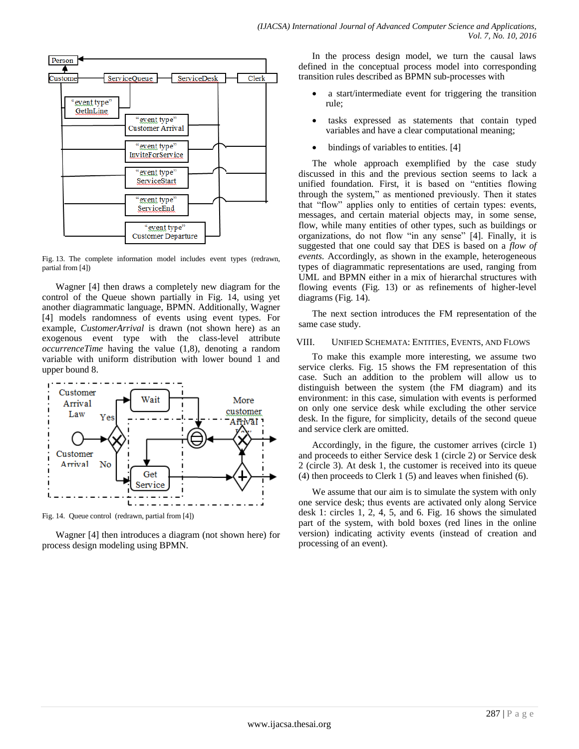

Fig. 13. The complete information model includes event types (redrawn, partial from [4])

Wagner [4] then draws a completely new diagram for the control of the Queue shown partially in Fig. 14, using yet another diagrammatic language, BPMN. Additionally, Wagner [4] models randomness of events using event types. For example, *CustomerArrival* is drawn (not shown here) as an exogenous event type with the class-level attribute *occurrenceTime* having the value (1,8), denoting a random variable with uniform distribution with lower bound 1 and upper bound 8.



Fig. 14. Queue control (redrawn, partial from [4])

Wagner [4] then introduces a diagram (not shown here) for process design modeling using BPMN.

In the process design model, we turn the causal laws defined in the conceptual process model into corresponding transition rules described as BPMN sub-processes with

- a start/intermediate event for triggering the transition rule;
- tasks expressed as statements that contain typed variables and have a clear computational meaning;
- bindings of variables to entities. [4]

The whole approach exemplified by the case study discussed in this and the previous section seems to lack a unified foundation. First, it is based on "entities flowing through the system," as mentioned previously. Then it states that "flow" applies only to entities of certain types: events, messages, and certain material objects may, in some sense, flow, while many entities of other types, such as buildings or organizations, do not flow "in any sense" [4]. Finally, it is suggested that one could say that DES is based on a *flow of events*. Accordingly, as shown in the example, heterogeneous types of diagrammatic representations are used, ranging from UML and BPMN either in a mix of hierarchal structures with flowing events (Fig. 13) or as refinements of higher-level diagrams (Fig. 14).

The next section introduces the FM representation of the same case study.

## VIII. UNIFIED SCHEMATA: ENTITIES, EVENTS, AND FLOWS

To make this example more interesting, we assume two service clerks. Fig. 15 shows the FM representation of this case. Such an addition to the problem will allow us to distinguish between the system (the FM diagram) and its environment: in this case, simulation with events is performed on only one service desk while excluding the other service desk. In the figure, for simplicity, details of the second queue and service clerk are omitted.

Accordingly, in the figure, the customer arrives (circle 1) and proceeds to either Service desk 1 (circle 2) or Service desk 2 (circle 3). At desk 1, the customer is received into its queue (4) then proceeds to Clerk 1 (5) and leaves when finished (6).

We assume that our aim is to simulate the system with only one service desk; thus events are activated only along Service desk 1: circles 1, 2, 4, 5, and 6. Fig. 16 shows the simulated part of the system, with bold boxes (red lines in the online version) indicating activity events (instead of creation and processing of an event).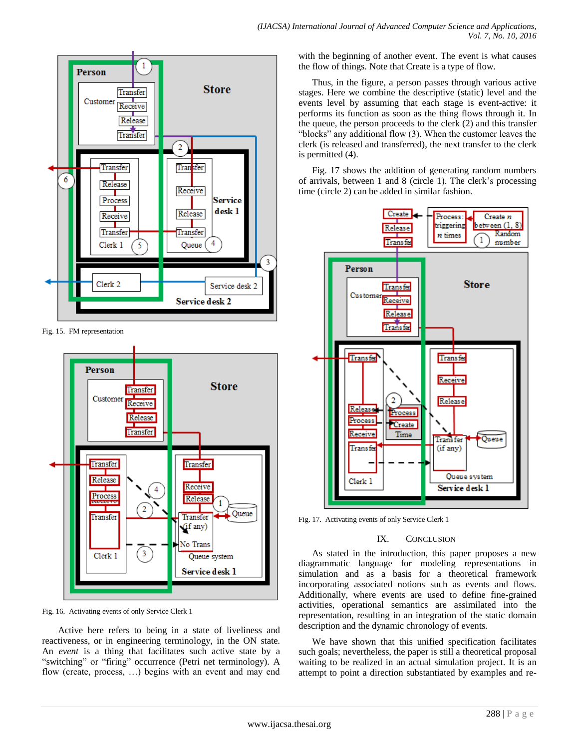

Fig. 15. FM representation



Fig. 16. Activating events of only Service Clerk 1

Active here refers to being in a state of liveliness and reactiveness, or in engineering terminology, in the ON state. An *event* is a thing that facilitates such active state by a "switching" or "firing" occurrence (Petri net terminology). A flow (create, process, …) begins with an event and may end with the beginning of another event. The event is what causes the flow of things. Note that Create is a type of flow.

Thus, in the figure, a person passes through various active stages. Here we combine the descriptive (static) level and the events level by assuming that each stage is event-active: it performs its function as soon as the thing flows through it. In the queue, the person proceeds to the clerk (2) and this transfer "blocks" any additional flow (3). When the customer leaves the clerk (is released and transferred), the next transfer to the clerk is permitted (4).

Fig. 17 shows the addition of generating random numbers of arrivals, between 1 and 8 (circle 1). The clerk's processing time (circle 2) can be added in similar fashion.



Fig. 17. Activating events of only Service Clerk 1

## IX. CONCLUSION

As stated in the introduction, this paper proposes a new diagrammatic language for modeling representations in simulation and as a basis for a theoretical framework incorporating associated notions such as events and flows. Additionally, where events are used to define fine-grained activities, operational semantics are assimilated into the representation, resulting in an integration of the static domain description and the dynamic chronology of events.

We have shown that this unified specification facilitates such goals; nevertheless, the paper is still a theoretical proposal waiting to be realized in an actual simulation project. It is an attempt to point a direction substantiated by examples and re